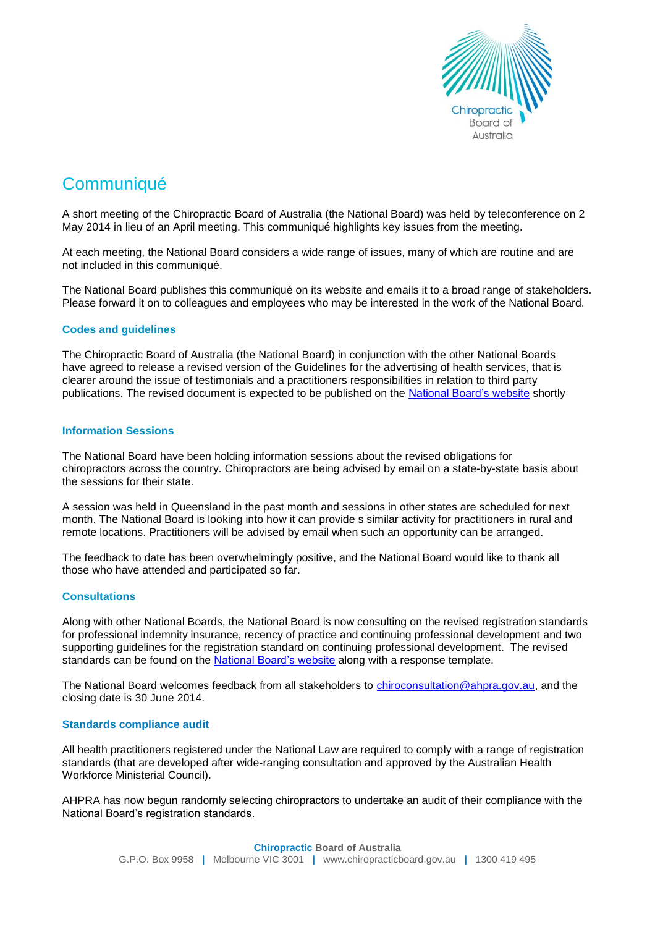

# **Communiqué**

A short meeting of the Chiropractic Board of Australia (the National Board) was held by teleconference on 2 May 2014 in lieu of an April meeting. This communiqué highlights key issues from the meeting.

At each meeting, the National Board considers a wide range of issues, many of which are routine and are not included in this communiqué.

The National Board publishes this communiqué on its website and emails it to a broad range of stakeholders. Please forward it on to colleagues and employees who may be interested in the work of the National Board.

## **Codes and guidelines**

The Chiropractic Board of Australia (the National Board) in conjunction with the other National Boards have agreed to release a revised version of the Guidelines for the advertising of health services, that is clearer around the issue of testimonials and a practitioners responsibilities in relation to third party publications. The revised document is expected to be published on the [National Board's website](http://www.chiropracticboard.gov.au/Codes-guidelines.aspx) shortly

## **Information Sessions**

The National Board have been holding information sessions about the revised obligations for chiropractors across the country. Chiropractors are being advised by email on a state-by-state basis about the sessions for their state.

A session was held in Queensland in the past month and sessions in other states are scheduled for next month. The National Board is looking into how it can provide s similar activity for practitioners in rural and remote locations. Practitioners will be advised by email when such an opportunity can be arranged.

The feedback to date has been overwhelmingly positive, and the National Board would like to thank all those who have attended and participated so far.

## **Consultations**

Along with other National Boards, the National Board is now consulting on the revised registration standards for professional indemnity insurance, recency of practice and continuing professional development and two supporting guidelines for the registration standard on continuing professional development. The revised standards can be found on the [National Board's website](http://www.chiropracticboard.gov.au/News/Current-consultations.aspx) along with a response template.

The National Board welcomes feedback from all stakeholders to chiroconsultation@ahpra.gov.au, and the closing date is 30 June 2014.

## **Standards compliance audit**

All health practitioners registered under the National Law are required to comply with a range of registration standards (that are developed after wide-ranging consultation and approved by the Australian Health Workforce Ministerial Council).

AHPRA has now begun randomly selecting chiropractors to undertake an audit of their compliance with the National Board's registration standards.